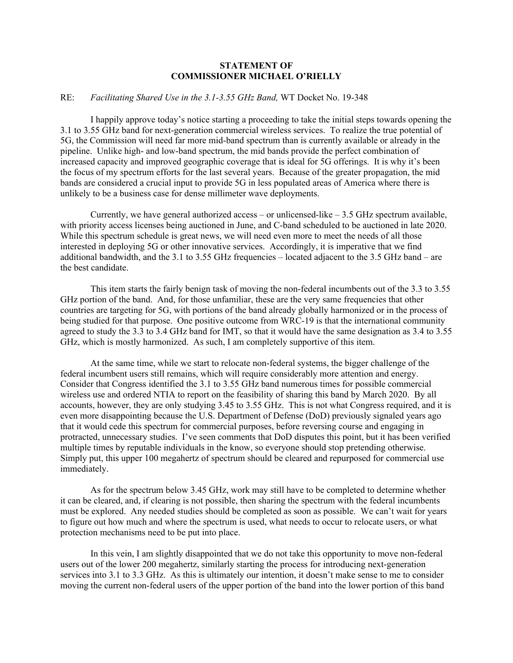## **STATEMENT OF COMMISSIONER MICHAEL O'RIELLY**

## RE: *Facilitating Shared Use in the 3.1-3.55 GHz Band,* WT Docket No. 19-348

I happily approve today's notice starting a proceeding to take the initial steps towards opening the 3.1 to 3.55 GHz band for next-generation commercial wireless services. To realize the true potential of 5G, the Commission will need far more mid-band spectrum than is currently available or already in the pipeline. Unlike high- and low-band spectrum, the mid bands provide the perfect combination of increased capacity and improved geographic coverage that is ideal for 5G offerings. It is why it's been the focus of my spectrum efforts for the last several years. Because of the greater propagation, the mid bands are considered a crucial input to provide 5G in less populated areas of America where there is unlikely to be a business case for dense millimeter wave deployments.

Currently, we have general authorized access – or unlicensed-like  $-3.5$  GHz spectrum available, with priority access licenses being auctioned in June, and C-band scheduled to be auctioned in late 2020. While this spectrum schedule is great news, we will need even more to meet the needs of all those interested in deploying 5G or other innovative services. Accordingly, it is imperative that we find additional bandwidth, and the 3.1 to 3.55 GHz frequencies – located adjacent to the 3.5 GHz band – are the best candidate.

This item starts the fairly benign task of moving the non-federal incumbents out of the 3.3 to 3.55 GHz portion of the band. And, for those unfamiliar, these are the very same frequencies that other countries are targeting for 5G, with portions of the band already globally harmonized or in the process of being studied for that purpose. One positive outcome from WRC-19 is that the international community agreed to study the 3.3 to 3.4 GHz band for IMT, so that it would have the same designation as 3.4 to 3.55 GHz, which is mostly harmonized. As such, I am completely supportive of this item.

At the same time, while we start to relocate non-federal systems, the bigger challenge of the federal incumbent users still remains, which will require considerably more attention and energy. Consider that Congress identified the 3.1 to 3.55 GHz band numerous times for possible commercial wireless use and ordered NTIA to report on the feasibility of sharing this band by March 2020. By all accounts, however, they are only studying 3.45 to 3.55 GHz. This is not what Congress required, and it is even more disappointing because the U.S. Department of Defense (DoD) previously signaled years ago that it would cede this spectrum for commercial purposes, before reversing course and engaging in protracted, unnecessary studies. I've seen comments that DoD disputes this point, but it has been verified multiple times by reputable individuals in the know, so everyone should stop pretending otherwise. Simply put, this upper 100 megahertz of spectrum should be cleared and repurposed for commercial use immediately.

As for the spectrum below 3.45 GHz, work may still have to be completed to determine whether it can be cleared, and, if clearing is not possible, then sharing the spectrum with the federal incumbents must be explored. Any needed studies should be completed as soon as possible. We can't wait for years to figure out how much and where the spectrum is used, what needs to occur to relocate users, or what protection mechanisms need to be put into place.

In this vein, I am slightly disappointed that we do not take this opportunity to move non-federal users out of the lower 200 megahertz, similarly starting the process for introducing next-generation services into 3.1 to 3.3 GHz. As this is ultimately our intention, it doesn't make sense to me to consider moving the current non-federal users of the upper portion of the band into the lower portion of this band